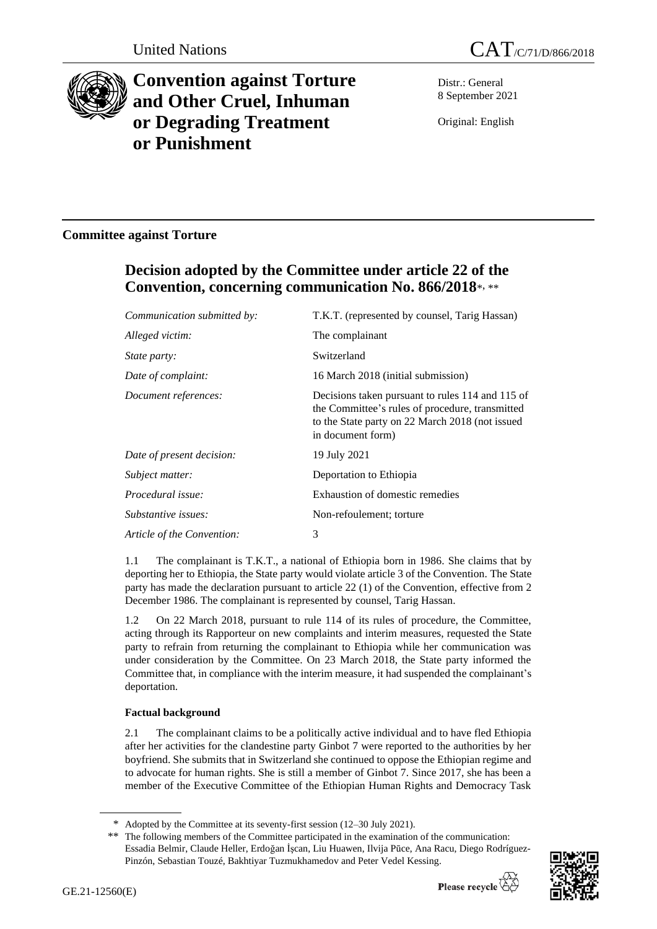



# **Convention against Torture and Other Cruel, Inhuman or Degrading Treatment or Punishment**

Distr.: General 8 September 2021

Original: English

# **Committee against Torture**

# **Decision adopted by the Committee under article 22 of the Convention, concerning communication No. 866/2018**\* , \*\*

| Communication submitted by: | T.K.T. (represented by counsel, Tarig Hassan)                                                                                                                               |
|-----------------------------|-----------------------------------------------------------------------------------------------------------------------------------------------------------------------------|
| Alleged victim:             | The complainant                                                                                                                                                             |
| <i>State party:</i>         | Switzerland                                                                                                                                                                 |
| Date of complaint:          | 16 March 2018 (initial submission)                                                                                                                                          |
| Document references:        | Decisions taken pursuant to rules 114 and 115 of<br>the Committee's rules of procedure, transmitted<br>to the State party on 22 March 2018 (not issued<br>in document form) |
| Date of present decision:   | 19 July 2021                                                                                                                                                                |
| Subject matter:             | Deportation to Ethiopia                                                                                                                                                     |
| Procedural issue:           | Exhaustion of domestic remedies                                                                                                                                             |
| Substantive issues:         | Non-refoulement; torture                                                                                                                                                    |
| Article of the Convention:  | 3                                                                                                                                                                           |

1.1 The complainant is T.K.T., a national of Ethiopia born in 1986. She claims that by deporting her to Ethiopia, the State party would violate article 3 of the Convention. The State party has made the declaration pursuant to article 22 (1) of the Convention, effective from 2 December 1986. The complainant is represented by counsel, Tarig Hassan.

1.2 On 22 March 2018, pursuant to rule 114 of its rules of procedure, the Committee, acting through its Rapporteur on new complaints and interim measures, requested the State party to refrain from returning the complainant to Ethiopia while her communication was under consideration by the Committee. On 23 March 2018, the State party informed the Committee that, in compliance with the interim measure, it had suspended the complainant's deportation.

# **Factual background**

2.1 The complainant claims to be a politically active individual and to have fled Ethiopia after her activities for the clandestine party Ginbot 7 were reported to the authorities by her boyfriend. She submits that in Switzerland she continued to oppose the Ethiopian regime and to advocate for human rights. She is still a member of Ginbot 7. Since 2017, she has been a member of the Executive Committee of the Ethiopian Human Rights and Democracy Task

<sup>\*\*</sup> The following members of the Committee participated in the examination of the communication: Essadia Belmir, Claude Heller, Erdoğan İşcan, Liu Huawen, Ilvija Pūce, Ana Racu, Diego Rodríguez-Pinzón, Sebastian Touzé, Bakhtiyar Tuzmukhamedov and Peter Vedel Kessing.



<sup>\*</sup> Adopted by the Committee at its seventy-first session (12–30 July 2021).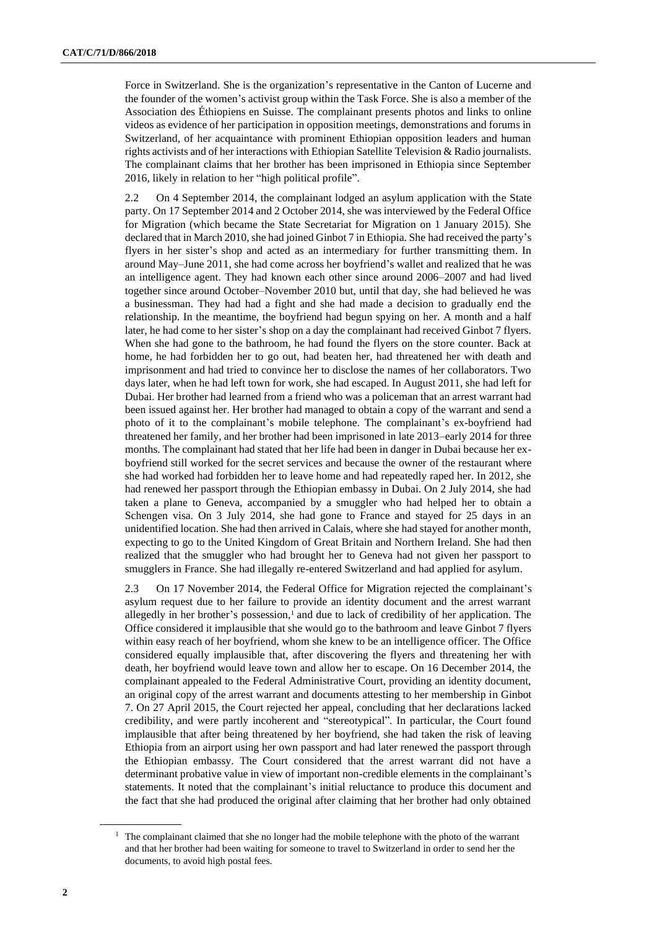Force in Switzerland. She is the organization's representative in the Canton of Lucerne and the founder of the women's activist group within the Task Force. She is also a member of the Association des Éthiopiens en Suisse. The complainant presents photos and links to online videos as evidence of her participation in opposition meetings, demonstrations and forums in Switzerland, of her acquaintance with prominent Ethiopian opposition leaders and human rights activists and of her interactions with Ethiopian Satellite Television & Radio journalists. The complainant claims that her brother has been imprisoned in Ethiopia since September 2016, likely in relation to her "high political profile".

2.2 On 4 September 2014, the complainant lodged an asylum application with the State party. On 17 September 2014 and 2 October 2014, she was interviewed by the Federal Office for Migration (which became the State Secretariat for Migration on 1 January 2015). She declared that in March 2010, she had joined Ginbot 7 in Ethiopia. She had received the party's flyers in her sister's shop and acted as an intermediary for further transmitting them. In around May–June 2011, she had come across her boyfriend's wallet and realized that he was an intelligence agent. They had known each other since around 2006–2007 and had lived together since around October–November 2010 but, until that day, she had believed he was a businessman. They had had a fight and she had made a decision to gradually end the relationship. In the meantime, the boyfriend had begun spying on her. A month and a half later, he had come to her sister's shop on a day the complainant had received Ginbot 7 flyers. When she had gone to the bathroom, he had found the flyers on the store counter. Back at home, he had forbidden her to go out, had beaten her, had threatened her with death and imprisonment and had tried to convince her to disclose the names of her collaborators. Two days later, when he had left town for work, she had escaped. In August 2011, she had left for Dubai. Her brother had learned from a friend who was a policeman that an arrest warrant had been issued against her. Her brother had managed to obtain a copy of the warrant and send a photo of it to the complainant's mobile telephone. The complainant's ex-boyfriend had threatened her family, and her brother had been imprisoned in late 2013–early 2014 for three months. The complainant had stated that her life had been in danger in Dubai because her exboyfriend still worked for the secret services and because the owner of the restaurant where she had worked had forbidden her to leave home and had repeatedly raped her. In 2012, she had renewed her passport through the Ethiopian embassy in Dubai. On 2 July 2014, she had taken a plane to Geneva, accompanied by a smuggler who had helped her to obtain a Schengen visa. On 3 July 2014, she had gone to France and stayed for 25 days in an unidentified location. She had then arrived in Calais, where she had stayed for another month, expecting to go to the United Kingdom of Great Britain and Northern Ireland. She had then realized that the smuggler who had brought her to Geneva had not given her passport to smugglers in France. She had illegally re-entered Switzerland and had applied for asylum.

2.3 On 17 November 2014, the Federal Office for Migration rejected the complainant's asylum request due to her failure to provide an identity document and the arrest warrant allegedly in her brother's possession, $<sup>1</sup>$  and due to lack of credibility of her application. The</sup> Office considered it implausible that she would go to the bathroom and leave Ginbot 7 flyers within easy reach of her boyfriend, whom she knew to be an intelligence officer. The Office considered equally implausible that, after discovering the flyers and threatening her with death, her boyfriend would leave town and allow her to escape. On 16 December 2014, the complainant appealed to the Federal Administrative Court, providing an identity document, an original copy of the arrest warrant and documents attesting to her membership in Ginbot 7. On 27 April 2015, the Court rejected her appeal, concluding that her declarations lacked credibility, and were partly incoherent and "stereotypical". In particular, the Court found implausible that after being threatened by her boyfriend, she had taken the risk of leaving Ethiopia from an airport using her own passport and had later renewed the passport through the Ethiopian embassy. The Court considered that the arrest warrant did not have a determinant probative value in view of important non-credible elements in the complainant's statements. It noted that the complainant's initial reluctance to produce this document and the fact that she had produced the original after claiming that her brother had only obtained

 $1$  The complainant claimed that she no longer had the mobile telephone with the photo of the warrant and that her brother had been waiting for someone to travel to Switzerland in order to send her the documents, to avoid high postal fees.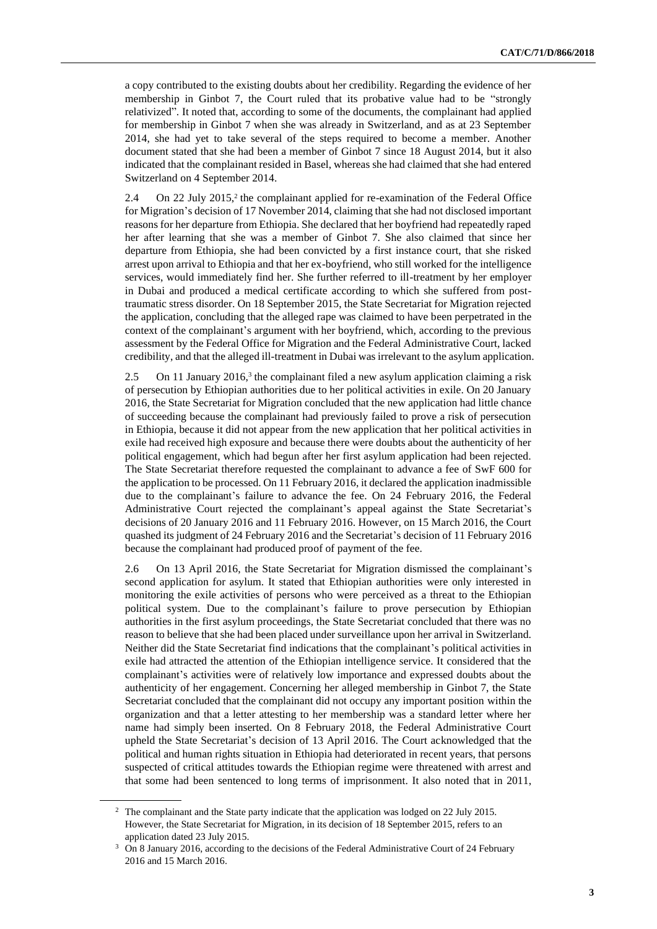a copy contributed to the existing doubts about her credibility. Regarding the evidence of her membership in Ginbot 7, the Court ruled that its probative value had to be "strongly relativized". It noted that, according to some of the documents, the complainant had applied for membership in Ginbot 7 when she was already in Switzerland, and as at 23 September 2014, she had yet to take several of the steps required to become a member. Another document stated that she had been a member of Ginbot 7 since 18 August 2014, but it also indicated that the complainant resided in Basel, whereas she had claimed that she had entered Switzerland on 4 September 2014.

2.4 On 22 July 2015,<sup>2</sup> the complainant applied for re-examination of the Federal Office for Migration's decision of 17 November 2014, claiming that she had not disclosed important reasons for her departure from Ethiopia. She declared that her boyfriend had repeatedly raped her after learning that she was a member of Ginbot 7. She also claimed that since her departure from Ethiopia, she had been convicted by a first instance court, that she risked arrest upon arrival to Ethiopia and that her ex-boyfriend, who still worked for the intelligence services, would immediately find her. She further referred to ill-treatment by her employer in Dubai and produced a medical certificate according to which she suffered from posttraumatic stress disorder. On 18 September 2015, the State Secretariat for Migration rejected the application, concluding that the alleged rape was claimed to have been perpetrated in the context of the complainant's argument with her boyfriend, which, according to the previous assessment by the Federal Office for Migration and the Federal Administrative Court, lacked credibility, and that the alleged ill-treatment in Dubai was irrelevant to the asylum application.

2.5 On 11 January 2016,<sup>3</sup> the complainant filed a new asylum application claiming a risk of persecution by Ethiopian authorities due to her political activities in exile. On 20 January 2016, the State Secretariat for Migration concluded that the new application had little chance of succeeding because the complainant had previously failed to prove a risk of persecution in Ethiopia, because it did not appear from the new application that her political activities in exile had received high exposure and because there were doubts about the authenticity of her political engagement, which had begun after her first asylum application had been rejected. The State Secretariat therefore requested the complainant to advance a fee of SwF 600 for the application to be processed. On 11 February 2016, it declared the application inadmissible due to the complainant's failure to advance the fee. On 24 February 2016, the Federal Administrative Court rejected the complainant's appeal against the State Secretariat's decisions of 20 January 2016 and 11 February 2016. However, on 15 March 2016, the Court quashed its judgment of 24 February 2016 and the Secretariat's decision of 11 February 2016 because the complainant had produced proof of payment of the fee.

2.6 On 13 April 2016, the State Secretariat for Migration dismissed the complainant's second application for asylum. It stated that Ethiopian authorities were only interested in monitoring the exile activities of persons who were perceived as a threat to the Ethiopian political system. Due to the complainant's failure to prove persecution by Ethiopian authorities in the first asylum proceedings, the State Secretariat concluded that there was no reason to believe that she had been placed under surveillance upon her arrival in Switzerland. Neither did the State Secretariat find indications that the complainant's political activities in exile had attracted the attention of the Ethiopian intelligence service. It considered that the complainant's activities were of relatively low importance and expressed doubts about the authenticity of her engagement. Concerning her alleged membership in Ginbot 7, the State Secretariat concluded that the complainant did not occupy any important position within the organization and that a letter attesting to her membership was a standard letter where her name had simply been inserted. On 8 February 2018, the Federal Administrative Court upheld the State Secretariat's decision of 13 April 2016. The Court acknowledged that the political and human rights situation in Ethiopia had deteriorated in recent years, that persons suspected of critical attitudes towards the Ethiopian regime were threatened with arrest and that some had been sentenced to long terms of imprisonment. It also noted that in 2011,

<sup>&</sup>lt;sup>2</sup> The complainant and the State party indicate that the application was lodged on 22 July 2015. However, the State Secretariat for Migration, in its decision of 18 September 2015, refers to an application dated 23 July 2015.

<sup>&</sup>lt;sup>3</sup> On 8 January 2016, according to the decisions of the Federal Administrative Court of 24 February 2016 and 15 March 2016.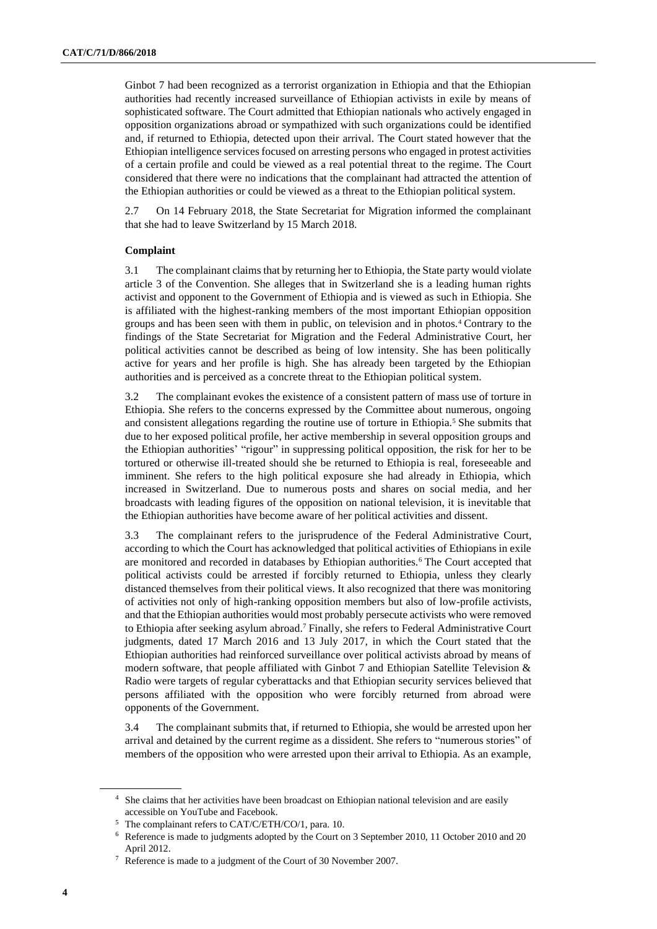Ginbot 7 had been recognized as a terrorist organization in Ethiopia and that the Ethiopian authorities had recently increased surveillance of Ethiopian activists in exile by means of sophisticated software. The Court admitted that Ethiopian nationals who actively engaged in opposition organizations abroad or sympathized with such organizations could be identified and, if returned to Ethiopia, detected upon their arrival. The Court stated however that the Ethiopian intelligence services focused on arresting persons who engaged in protest activities of a certain profile and could be viewed as a real potential threat to the regime. The Court considered that there were no indications that the complainant had attracted the attention of the Ethiopian authorities or could be viewed as a threat to the Ethiopian political system.

2.7 On 14 February 2018, the State Secretariat for Migration informed the complainant that she had to leave Switzerland by 15 March 2018.

#### **Complaint**

3.1 The complainant claims that by returning her to Ethiopia, the State party would violate article 3 of the Convention. She alleges that in Switzerland she is a leading human rights activist and opponent to the Government of Ethiopia and is viewed as such in Ethiopia. She is affiliated with the highest-ranking members of the most important Ethiopian opposition groups and has been seen with them in public, on television and in photos.<sup>4</sup> Contrary to the findings of the State Secretariat for Migration and the Federal Administrative Court, her political activities cannot be described as being of low intensity. She has been politically active for years and her profile is high. She has already been targeted by the Ethiopian authorities and is perceived as a concrete threat to the Ethiopian political system.

3.2 The complainant evokes the existence of a consistent pattern of mass use of torture in Ethiopia. She refers to the concerns expressed by the Committee about numerous, ongoing and consistent allegations regarding the routine use of torture in Ethiopia.<sup>5</sup> She submits that due to her exposed political profile, her active membership in several opposition groups and the Ethiopian authorities' "rigour" in suppressing political opposition, the risk for her to be tortured or otherwise ill-treated should she be returned to Ethiopia is real, foreseeable and imminent. She refers to the high political exposure she had already in Ethiopia, which increased in Switzerland. Due to numerous posts and shares on social media, and her broadcasts with leading figures of the opposition on national television, it is inevitable that the Ethiopian authorities have become aware of her political activities and dissent.

3.3 The complainant refers to the jurisprudence of the Federal Administrative Court, according to which the Court has acknowledged that political activities of Ethiopians in exile are monitored and recorded in databases by Ethiopian authorities.<sup>6</sup> The Court accepted that political activists could be arrested if forcibly returned to Ethiopia, unless they clearly distanced themselves from their political views. It also recognized that there was monitoring of activities not only of high-ranking opposition members but also of low-profile activists, and that the Ethiopian authorities would most probably persecute activists who were removed to Ethiopia after seeking asylum abroad.<sup>7</sup> Finally, she refers to Federal Administrative Court judgments, dated 17 March 2016 and 13 July 2017, in which the Court stated that the Ethiopian authorities had reinforced surveillance over political activists abroad by means of modern software, that people affiliated with Ginbot 7 and Ethiopian Satellite Television & Radio were targets of regular cyberattacks and that Ethiopian security services believed that persons affiliated with the opposition who were forcibly returned from abroad were opponents of the Government.

3.4 The complainant submits that, if returned to Ethiopia, she would be arrested upon her arrival and detained by the current regime as a dissident. She refers to "numerous stories" of members of the opposition who were arrested upon their arrival to Ethiopia. As an example,

<sup>&</sup>lt;sup>4</sup> She claims that her activities have been broadcast on Ethiopian national television and are easily accessible on YouTube and Facebook.

<sup>5</sup> The complainant refers to CAT/C/ETH/CO/1, para. 10.

<sup>6</sup> Reference is made to judgments adopted by the Court on 3 September 2010, 11 October 2010 and 20 April 2012.

<sup>7</sup> Reference is made to a judgment of the Court of 30 November 2007.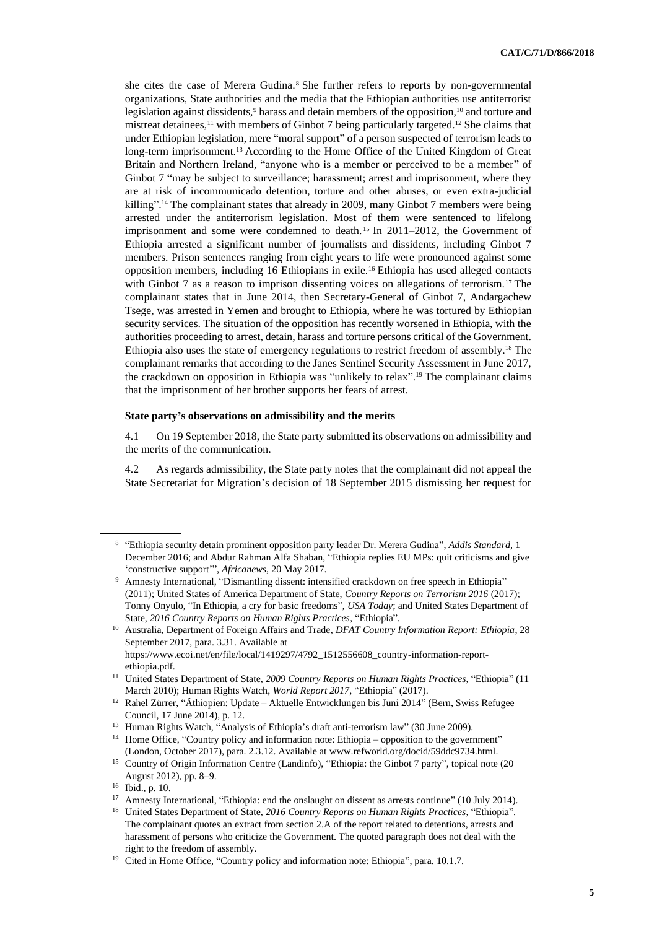she cites the case of Merera Gudina.<sup>8</sup> She further refers to reports by non-governmental organizations, State authorities and the media that the Ethiopian authorities use antiterrorist legislation against dissidents,<sup>9</sup> harass and detain members of the opposition,<sup>10</sup> and torture and mistreat detainees,<sup>11</sup> with members of Ginbot 7 being particularly targeted.<sup>12</sup> She claims that under Ethiopian legislation, mere "moral support" of a person suspected of terrorism leads to long-term imprisonment.<sup>13</sup> According to the Home Office of the United Kingdom of Great Britain and Northern Ireland, "anyone who is a member or perceived to be a member" of Ginbot 7 "may be subject to surveillance; harassment; arrest and imprisonment, where they are at risk of incommunicado detention, torture and other abuses, or even extra-judicial killing".<sup>14</sup> The complainant states that already in 2009, many Ginbot 7 members were being arrested under the antiterrorism legislation. Most of them were sentenced to lifelong imprisonment and some were condemned to death. <sup>15</sup> In 2011–2012, the Government of Ethiopia arrested a significant number of journalists and dissidents, including Ginbot 7 members. Prison sentences ranging from eight years to life were pronounced against some opposition members, including 16 Ethiopians in exile.<sup>16</sup> Ethiopia has used alleged contacts with Ginbot 7 as a reason to imprison dissenting voices on allegations of terrorism.<sup>17</sup> The complainant states that in June 2014, then Secretary-General of Ginbot 7, Andargachew Tsege, was arrested in Yemen and brought to Ethiopia, where he was tortured by Ethiopian security services. The situation of the opposition has recently worsened in Ethiopia, with the authorities proceeding to arrest, detain, harass and torture persons critical of the Government. Ethiopia also uses the state of emergency regulations to restrict freedom of assembly.<sup>18</sup> The complainant remarks that according to the Janes Sentinel Security Assessment in June 2017, the crackdown on opposition in Ethiopia was "unlikely to relax". <sup>19</sup> The complainant claims that the imprisonment of her brother supports her fears of arrest.

### **State party's observations on admissibility and the merits**

4.1 On 19 September 2018, the State party submitted its observations on admissibility and the merits of the communication.

4.2 As regards admissibility, the State party notes that the complainant did not appeal the State Secretariat for Migration's decision of 18 September 2015 dismissing her request for

<sup>8</sup> "Ethiopia security detain prominent opposition party leader Dr. Merera Gudina", *Addis Standard*, 1 December 2016; and Abdur Rahman Alfa Shaban, "Ethiopia replies EU MPs: quit criticisms and give 'constructive support'", *Africanews*, 20 May 2017.

<sup>&</sup>lt;sup>9</sup> Amnesty International, "Dismantling dissent: intensified crackdown on free speech in Ethiopia" (2011); United States of America Department of State, *Country Reports on Terrorism 2016* (2017); Tonny Onyulo, "In Ethiopia, a cry for basic freedoms", *USA Today*; and United States Department of State, *2016 Country Reports on Human Rights Practices*, "Ethiopia".

<sup>10</sup> Australia, Department of Foreign Affairs and Trade, *DFAT Country Information Report: Ethiopia*, 28 September 2017, para. 3.31. Available at https://www.ecoi.net/en/file/local/1419297/4792\_1512556608\_country-information-reportethiopia.pdf.

<sup>11</sup> United States Department of State, *2009 Country Reports on Human Rights Practices*, "Ethiopia" (11 March 2010); Human Rights Watch, *World Report 2017*, "Ethiopia" (2017).

<sup>&</sup>lt;sup>12</sup> Rahel Zürrer, "Äthiopien: Update – Aktuelle Entwicklungen bis Juni 2014" (Bern, Swiss Refugee Council, 17 June 2014), p. 12.

<sup>&</sup>lt;sup>13</sup> Human Rights Watch, "Analysis of Ethiopia's draft anti-terrorism law" (30 June 2009).

<sup>&</sup>lt;sup>14</sup> Home Office, "Country policy and information note: Ethiopia – opposition to the government" (London, October 2017), para. 2.3.12. Available a[t www.refworld.org/docid/59ddc9734.html.](http://www.refworld.org/docid/59ddc9734.html)

<sup>&</sup>lt;sup>15</sup> Country of Origin Information Centre (Landinfo), "Ethiopia: the Ginbot 7 party", topical note (20 August 2012), pp. 8–9.

<sup>16</sup> Ibid., p. 10.

<sup>&</sup>lt;sup>17</sup> Amnesty International, "Ethiopia: end the onslaught on dissent as arrests continue" (10 July 2014).

<sup>18</sup> United States Department of State, *2016 Country Reports on Human Rights Practices*, "Ethiopia". The complainant quotes an extract from section 2.A of the report related to detentions, arrests and harassment of persons who criticize the Government. The quoted paragraph does not deal with the right to the freedom of assembly.

<sup>&</sup>lt;sup>19</sup> Cited in Home Office, "Country policy and information note: Ethiopia", para. 10.1.7.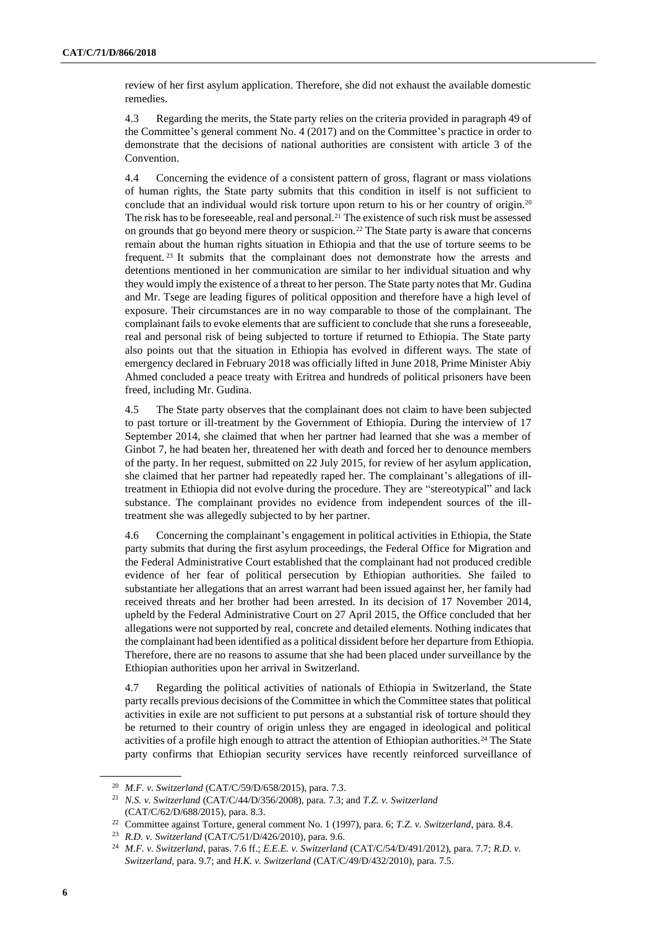review of her first asylum application. Therefore, she did not exhaust the available domestic remedies.

4.3 Regarding the merits, the State party relies on the criteria provided in paragraph 49 of the Committee's general comment No. 4 (2017) and on the Committee's practice in order to demonstrate that the decisions of national authorities are consistent with article 3 of the Convention.

4.4 Concerning the evidence of a consistent pattern of gross, flagrant or mass violations of human rights, the State party submits that this condition in itself is not sufficient to conclude that an individual would risk torture upon return to his or her country of origin.<sup>20</sup> The risk has to be foreseeable, real and personal.<sup>21</sup> The existence of such risk must be assessed on grounds that go beyond mere theory or suspicion.<sup>22</sup> The State party is aware that concerns remain about the human rights situation in Ethiopia and that the use of torture seems to be frequent. <sup>23</sup> It submits that the complainant does not demonstrate how the arrests and detentions mentioned in her communication are similar to her individual situation and why they would imply the existence of a threat to her person. The State party notes that Mr. Gudina and Mr. Tsege are leading figures of political opposition and therefore have a high level of exposure. Their circumstances are in no way comparable to those of the complainant. The complainant fails to evoke elements that are sufficient to conclude that she runs a foreseeable, real and personal risk of being subjected to torture if returned to Ethiopia. The State party also points out that the situation in Ethiopia has evolved in different ways. The state of emergency declared in February 2018 was officially lifted in June 2018, Prime Minister Abiy Ahmed concluded a peace treaty with Eritrea and hundreds of political prisoners have been freed, including Mr. Gudina.

4.5 The State party observes that the complainant does not claim to have been subjected to past torture or ill-treatment by the Government of Ethiopia. During the interview of 17 September 2014, she claimed that when her partner had learned that she was a member of Ginbot 7, he had beaten her, threatened her with death and forced her to denounce members of the party. In her request, submitted on 22 July 2015, for review of her asylum application, she claimed that her partner had repeatedly raped her. The complainant's allegations of illtreatment in Ethiopia did not evolve during the procedure. They are "stereotypical" and lack substance. The complainant provides no evidence from independent sources of the illtreatment she was allegedly subjected to by her partner.

4.6 Concerning the complainant's engagement in political activities in Ethiopia, the State party submits that during the first asylum proceedings, the Federal Office for Migration and the Federal Administrative Court established that the complainant had not produced credible evidence of her fear of political persecution by Ethiopian authorities. She failed to substantiate her allegations that an arrest warrant had been issued against her, her family had received threats and her brother had been arrested. In its decision of 17 November 2014, upheld by the Federal Administrative Court on 27 April 2015, the Office concluded that her allegations were not supported by real, concrete and detailed elements. Nothing indicates that the complainant had been identified as a political dissident before her departure from Ethiopia. Therefore, there are no reasons to assume that she had been placed under surveillance by the Ethiopian authorities upon her arrival in Switzerland.

4.7 Regarding the political activities of nationals of Ethiopia in Switzerland, the State party recalls previous decisions of the Committee in which the Committee states that political activities in exile are not sufficient to put persons at a substantial risk of torture should they be returned to their country of origin unless they are engaged in ideological and political activities of a profile high enough to attract the attention of Ethiopian authorities.<sup>24</sup> The State party confirms that Ethiopian security services have recently reinforced surveillance of

<sup>20</sup> *M.F. v. Switzerland* (CAT/C/59/D/658/2015), para. 7.3.

<sup>21</sup> *N.S. v. Switzerland* (CAT/C/44/D/356/2008), para. 7.3; and *T.Z. v. Switzerland* (CAT/C/62/D/688/2015), para. 8.3.

<sup>22</sup> Committee against Torture, general comment No. 1 (1997), para. 6; *T.Z. v. Switzerland*, para. 8.4.

<sup>23</sup> *R.D. v. Switzerland* (CAT/C/51/D/426/2010), para. 9.6.

<sup>24</sup> *M.F. v. Switzerland*, paras. 7.6 ff.; *E.E.E. v. Switzerland* (CAT/C/54/D/491/2012), para. 7.7; *R.D. v. Switzerland*, para. 9.7; and *H.K. v. Switzerland* (CAT/C/49/D/432/2010), para. 7.5.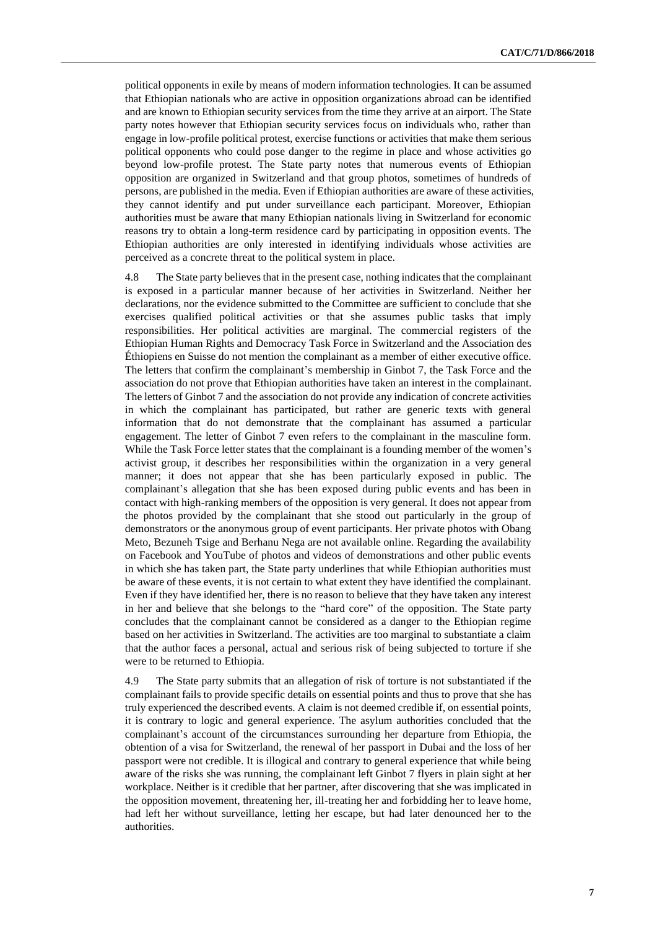political opponents in exile by means of modern information technologies. It can be assumed that Ethiopian nationals who are active in opposition organizations abroad can be identified and are known to Ethiopian security services from the time they arrive at an airport. The State party notes however that Ethiopian security services focus on individuals who, rather than engage in low-profile political protest, exercise functions or activities that make them serious political opponents who could pose danger to the regime in place and whose activities go beyond low-profile protest. The State party notes that numerous events of Ethiopian opposition are organized in Switzerland and that group photos, sometimes of hundreds of persons, are published in the media. Even if Ethiopian authorities are aware of these activities, they cannot identify and put under surveillance each participant. Moreover, Ethiopian authorities must be aware that many Ethiopian nationals living in Switzerland for economic reasons try to obtain a long-term residence card by participating in opposition events. The Ethiopian authorities are only interested in identifying individuals whose activities are perceived as a concrete threat to the political system in place.

4.8 The State party believes that in the present case, nothing indicates that the complainant is exposed in a particular manner because of her activities in Switzerland. Neither her declarations, nor the evidence submitted to the Committee are sufficient to conclude that she exercises qualified political activities or that she assumes public tasks that imply responsibilities. Her political activities are marginal. The commercial registers of the Ethiopian Human Rights and Democracy Task Force in Switzerland and the Association des Éthiopiens en Suisse do not mention the complainant as a member of either executive office. The letters that confirm the complainant's membership in Ginbot 7, the Task Force and the association do not prove that Ethiopian authorities have taken an interest in the complainant. The letters of Ginbot 7 and the association do not provide any indication of concrete activities in which the complainant has participated, but rather are generic texts with general information that do not demonstrate that the complainant has assumed a particular engagement. The letter of Ginbot 7 even refers to the complainant in the masculine form. While the Task Force letter states that the complainant is a founding member of the women's activist group, it describes her responsibilities within the organization in a very general manner; it does not appear that she has been particularly exposed in public. The complainant's allegation that she has been exposed during public events and has been in contact with high-ranking members of the opposition is very general. It does not appear from the photos provided by the complainant that she stood out particularly in the group of demonstrators or the anonymous group of event participants. Her private photos with Obang Meto, Bezuneh Tsige and Berhanu Nega are not available online. Regarding the availability on Facebook and YouTube of photos and videos of demonstrations and other public events in which she has taken part, the State party underlines that while Ethiopian authorities must be aware of these events, it is not certain to what extent they have identified the complainant. Even if they have identified her, there is no reason to believe that they have taken any interest in her and believe that she belongs to the "hard core" of the opposition. The State party concludes that the complainant cannot be considered as a danger to the Ethiopian regime based on her activities in Switzerland. The activities are too marginal to substantiate a claim that the author faces a personal, actual and serious risk of being subjected to torture if she were to be returned to Ethiopia.

4.9 The State party submits that an allegation of risk of torture is not substantiated if the complainant fails to provide specific details on essential points and thus to prove that she has truly experienced the described events. A claim is not deemed credible if, on essential points, it is contrary to logic and general experience. The asylum authorities concluded that the complainant's account of the circumstances surrounding her departure from Ethiopia, the obtention of a visa for Switzerland, the renewal of her passport in Dubai and the loss of her passport were not credible. It is illogical and contrary to general experience that while being aware of the risks she was running, the complainant left Ginbot 7 flyers in plain sight at her workplace. Neither is it credible that her partner, after discovering that she was implicated in the opposition movement, threatening her, ill-treating her and forbidding her to leave home, had left her without surveillance, letting her escape, but had later denounced her to the authorities.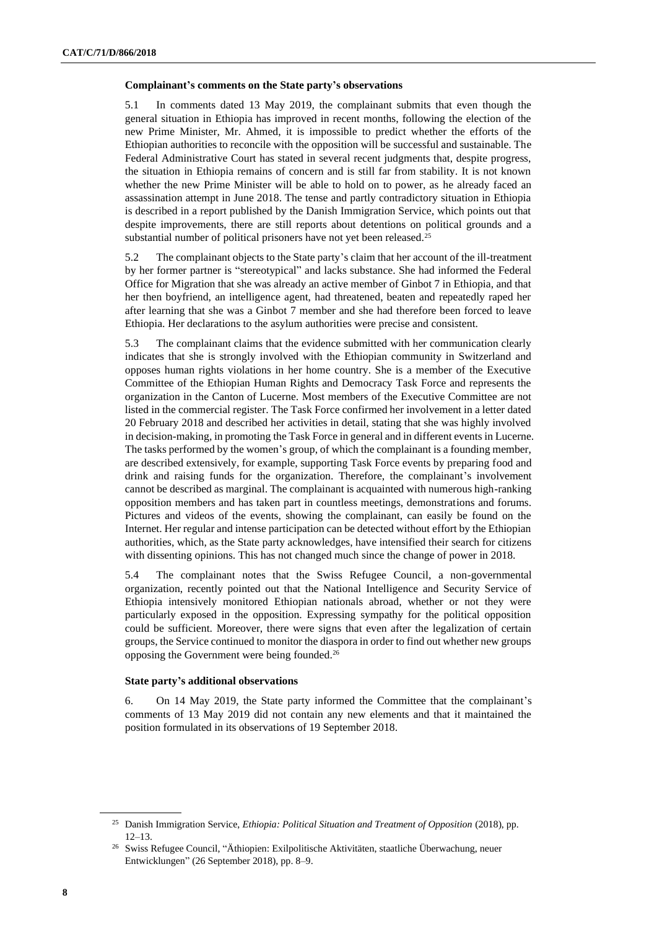### **Complainant's comments on the State party's observations**

5.1 In comments dated 13 May 2019, the complainant submits that even though the general situation in Ethiopia has improved in recent months, following the election of the new Prime Minister, Mr. Ahmed, it is impossible to predict whether the efforts of the Ethiopian authorities to reconcile with the opposition will be successful and sustainable. The Federal Administrative Court has stated in several recent judgments that, despite progress, the situation in Ethiopia remains of concern and is still far from stability. It is not known whether the new Prime Minister will be able to hold on to power, as he already faced an assassination attempt in June 2018. The tense and partly contradictory situation in Ethiopia is described in a report published by the Danish Immigration Service, which points out that despite improvements, there are still reports about detentions on political grounds and a substantial number of political prisoners have not yet been released.<sup>25</sup>

5.2 The complainant objects to the State party's claim that her account of the ill-treatment by her former partner is "stereotypical" and lacks substance. She had informed the Federal Office for Migration that she was already an active member of Ginbot 7 in Ethiopia, and that her then boyfriend, an intelligence agent, had threatened, beaten and repeatedly raped her after learning that she was a Ginbot 7 member and she had therefore been forced to leave Ethiopia. Her declarations to the asylum authorities were precise and consistent.

5.3 The complainant claims that the evidence submitted with her communication clearly indicates that she is strongly involved with the Ethiopian community in Switzerland and opposes human rights violations in her home country. She is a member of the Executive Committee of the Ethiopian Human Rights and Democracy Task Force and represents the organization in the Canton of Lucerne. Most members of the Executive Committee are not listed in the commercial register. The Task Force confirmed her involvement in a letter dated 20 February 2018 and described her activities in detail, stating that she was highly involved in decision-making, in promoting the Task Force in general and in different events in Lucerne. The tasks performed by the women's group, of which the complainant is a founding member, are described extensively, for example, supporting Task Force events by preparing food and drink and raising funds for the organization. Therefore, the complainant's involvement cannot be described as marginal. The complainant is acquainted with numerous high-ranking opposition members and has taken part in countless meetings, demonstrations and forums. Pictures and videos of the events, showing the complainant, can easily be found on the Internet. Her regular and intense participation can be detected without effort by the Ethiopian authorities, which, as the State party acknowledges, have intensified their search for citizens with dissenting opinions. This has not changed much since the change of power in 2018.

5.4 The complainant notes that the Swiss Refugee Council, a non-governmental organization, recently pointed out that the National Intelligence and Security Service of Ethiopia intensively monitored Ethiopian nationals abroad, whether or not they were particularly exposed in the opposition. Expressing sympathy for the political opposition could be sufficient. Moreover, there were signs that even after the legalization of certain groups, the Service continued to monitor the diaspora in order to find out whether new groups opposing the Government were being founded.<sup>26</sup>

## **State party's additional observations**

6. On 14 May 2019, the State party informed the Committee that the complainant's comments of 13 May 2019 did not contain any new elements and that it maintained the position formulated in its observations of 19 September 2018.

<sup>25</sup> Danish Immigration Service, *Ethiopia: Political Situation and Treatment of Opposition* (2018), pp. 12–13.

<sup>26</sup> Swiss Refugee Council, "Äthiopien: Exilpolitische Aktivitäten, staatliche Überwachung, neuer Entwicklungen" (26 September 2018), pp. 8–9.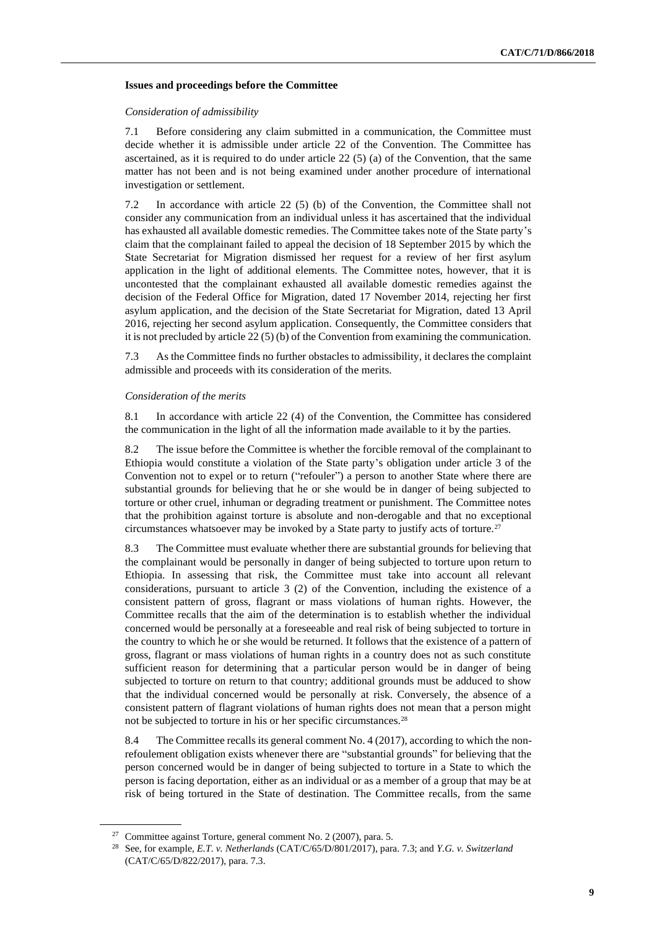#### **Issues and proceedings before the Committee**

#### *Consideration of admissibility*

7.1 Before considering any claim submitted in a communication, the Committee must decide whether it is admissible under article 22 of the Convention. The Committee has ascertained, as it is required to do under article 22 (5) (a) of the Convention, that the same matter has not been and is not being examined under another procedure of international investigation or settlement.

7.2 In accordance with article 22 (5) (b) of the Convention, the Committee shall not consider any communication from an individual unless it has ascertained that the individual has exhausted all available domestic remedies. The Committee takes note of the State party's claim that the complainant failed to appeal the decision of 18 September 2015 by which the State Secretariat for Migration dismissed her request for a review of her first asylum application in the light of additional elements. The Committee notes, however, that it is uncontested that the complainant exhausted all available domestic remedies against the decision of the Federal Office for Migration, dated 17 November 2014, rejecting her first asylum application, and the decision of the State Secretariat for Migration, dated 13 April 2016, rejecting her second asylum application. Consequently, the Committee considers that it is not precluded by article 22 (5) (b) of the Convention from examining the communication.

7.3 As the Committee finds no further obstacles to admissibility, it declares the complaint admissible and proceeds with its consideration of the merits.

#### *Consideration of the merits*

8.1 In accordance with article 22 (4) of the Convention, the Committee has considered the communication in the light of all the information made available to it by the parties.

8.2 The issue before the Committee is whether the forcible removal of the complainant to Ethiopia would constitute a violation of the State party's obligation under article 3 of the Convention not to expel or to return ("refouler") a person to another State where there are substantial grounds for believing that he or she would be in danger of being subjected to torture or other cruel, inhuman or degrading treatment or punishment. The Committee notes that the prohibition against torture is absolute and non-derogable and that no exceptional circumstances whatsoever may be invoked by a State party to justify acts of torture.<sup>27</sup>

8.3 The Committee must evaluate whether there are substantial grounds for believing that the complainant would be personally in danger of being subjected to torture upon return to Ethiopia. In assessing that risk, the Committee must take into account all relevant considerations, pursuant to article 3 (2) of the Convention, including the existence of a consistent pattern of gross, flagrant or mass violations of human rights. However, the Committee recalls that the aim of the determination is to establish whether the individual concerned would be personally at a foreseeable and real risk of being subjected to torture in the country to which he or she would be returned. It follows that the existence of a pattern of gross, flagrant or mass violations of human rights in a country does not as such constitute sufficient reason for determining that a particular person would be in danger of being subjected to torture on return to that country; additional grounds must be adduced to show that the individual concerned would be personally at risk. Conversely, the absence of a consistent pattern of flagrant violations of human rights does not mean that a person might not be subjected to torture in his or her specific circumstances.<sup>28</sup>

8.4 The Committee recalls its general comment No. 4 (2017), according to which the nonrefoulement obligation exists whenever there are "substantial grounds" for believing that the person concerned would be in danger of being subjected to torture in a State to which the person is facing deportation, either as an individual or as a member of a group that may be at risk of being tortured in the State of destination. The Committee recalls, from the same

<sup>&</sup>lt;sup>27</sup> Committee against Torture, general comment No. 2 (2007), para. 5.

<sup>28</sup> See, for example, *E.T. v. Netherlands* (CAT/C/65/D/801/2017), para. 7.3; and *Y.G. v. Switzerland*  (CAT/C/65/D/822/2017), para. 7.3.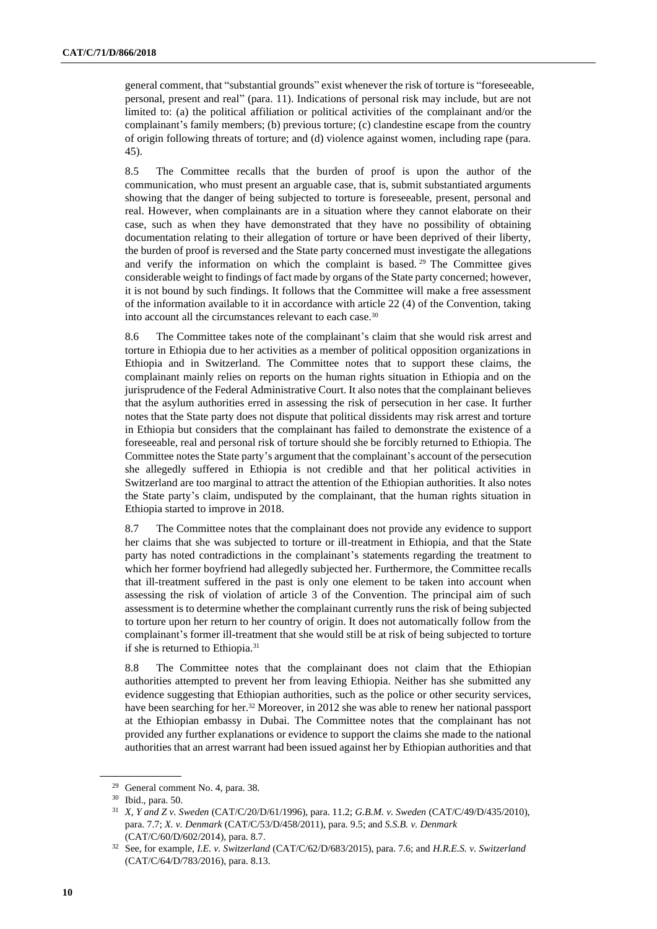general comment, that "substantial grounds" exist whenever the risk of torture is "foreseeable, personal, present and real" (para. 11). Indications of personal risk may include, but are not limited to: (a) the political affiliation or political activities of the complainant and/or the complainant's family members; (b) previous torture; (c) clandestine escape from the country of origin following threats of torture; and (d) violence against women, including rape (para. 45).

8.5 The Committee recalls that the burden of proof is upon the author of the communication, who must present an arguable case, that is, submit substantiated arguments showing that the danger of being subjected to torture is foreseeable, present, personal and real. However, when complainants are in a situation where they cannot elaborate on their case, such as when they have demonstrated that they have no possibility of obtaining documentation relating to their allegation of torture or have been deprived of their liberty, the burden of proof is reversed and the State party concerned must investigate the allegations and verify the information on which the complaint is based. <sup>29</sup> The Committee gives considerable weight to findings of fact made by organs of the State party concerned; however, it is not bound by such findings. It follows that the Committee will make a free assessment of the information available to it in accordance with article 22 (4) of the Convention, taking into account all the circumstances relevant to each case.<sup>30</sup>

8.6 The Committee takes note of the complainant's claim that she would risk arrest and torture in Ethiopia due to her activities as a member of political opposition organizations in Ethiopia and in Switzerland. The Committee notes that to support these claims, the complainant mainly relies on reports on the human rights situation in Ethiopia and on the jurisprudence of the Federal Administrative Court. It also notes that the complainant believes that the asylum authorities erred in assessing the risk of persecution in her case. It further notes that the State party does not dispute that political dissidents may risk arrest and torture in Ethiopia but considers that the complainant has failed to demonstrate the existence of a foreseeable, real and personal risk of torture should she be forcibly returned to Ethiopia. The Committee notes the State party's argument that the complainant's account of the persecution she allegedly suffered in Ethiopia is not credible and that her political activities in Switzerland are too marginal to attract the attention of the Ethiopian authorities. It also notes the State party's claim, undisputed by the complainant, that the human rights situation in Ethiopia started to improve in 2018.

8.7 The Committee notes that the complainant does not provide any evidence to support her claims that she was subjected to torture or ill-treatment in Ethiopia, and that the State party has noted contradictions in the complainant's statements regarding the treatment to which her former boyfriend had allegedly subjected her. Furthermore, the Committee recalls that ill-treatment suffered in the past is only one element to be taken into account when assessing the risk of violation of article 3 of the Convention. The principal aim of such assessment is to determine whether the complainant currently runs the risk of being subjected to torture upon her return to her country of origin. It does not automatically follow from the complainant's former ill-treatment that she would still be at risk of being subjected to torture if she is returned to Ethiopia.<sup>31</sup>

8.8 The Committee notes that the complainant does not claim that the Ethiopian authorities attempted to prevent her from leaving Ethiopia. Neither has she submitted any evidence suggesting that Ethiopian authorities, such as the police or other security services, have been searching for her.<sup>32</sup> Moreover, in 2012 she was able to renew her national passport at the Ethiopian embassy in Dubai. The Committee notes that the complainant has not provided any further explanations or evidence to support the claims she made to the national authorities that an arrest warrant had been issued against her by Ethiopian authorities and that

<sup>29</sup> General comment No. 4, para. 38.

<sup>30</sup> Ibid., para. 50.

<sup>31</sup> *X, Y and Z v. Sweden* (CAT/C/20/D/61/1996), para. 11.2; *G.B.M. v. Sweden* (CAT/C/49/D/435/2010), para. 7.7; *X. v. Denmark* (CAT/C/53/D/458/2011), para. 9.5; and *S.S.B. v. Denmark* (CAT/C/60/D/602/2014), para. 8.7.

<sup>32</sup> See, for example, *I.E. v. Switzerland* (CAT/C/62/D/683/2015), para. 7.6; and *H.R.E.S. v. Switzerland*  (CAT/C/64/D/783/2016), para. 8.13.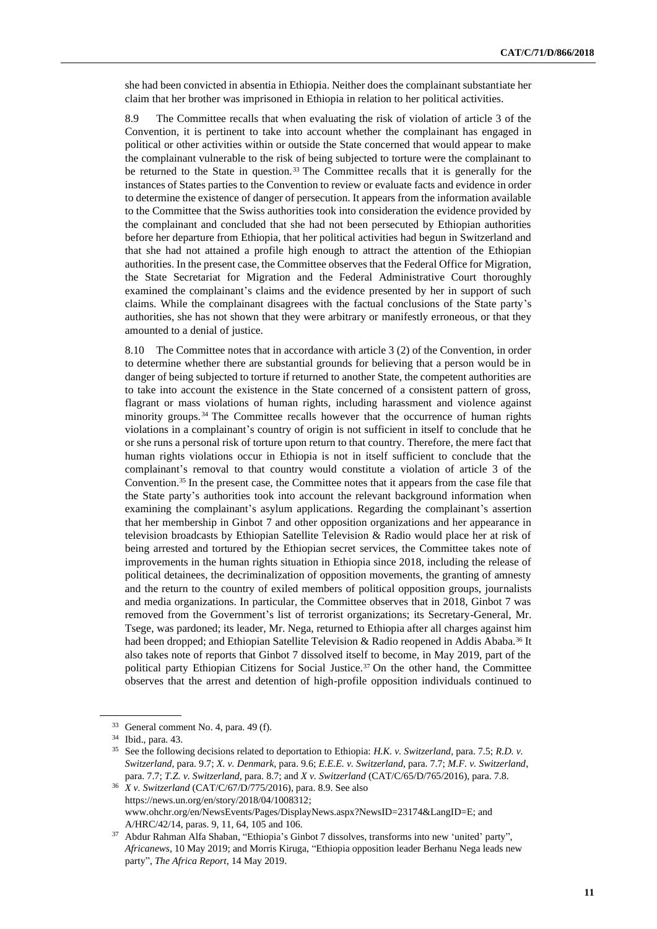she had been convicted in absentia in Ethiopia. Neither does the complainant substantiate her claim that her brother was imprisoned in Ethiopia in relation to her political activities.

8.9 The Committee recalls that when evaluating the risk of violation of article 3 of the Convention, it is pertinent to take into account whether the complainant has engaged in political or other activities within or outside the State concerned that would appear to make the complainant vulnerable to the risk of being subjected to torture were the complainant to be returned to the State in question.<sup>33</sup> The Committee recalls that it is generally for the instances of States parties to the Convention to review or evaluate facts and evidence in order to determine the existence of danger of persecution. It appears from the information available to the Committee that the Swiss authorities took into consideration the evidence provided by the complainant and concluded that she had not been persecuted by Ethiopian authorities before her departure from Ethiopia, that her political activities had begun in Switzerland and that she had not attained a profile high enough to attract the attention of the Ethiopian authorities. In the present case, the Committee observes that the Federal Office for Migration, the State Secretariat for Migration and the Federal Administrative Court thoroughly examined the complainant's claims and the evidence presented by her in support of such claims. While the complainant disagrees with the factual conclusions of the State party's authorities, she has not shown that they were arbitrary or manifestly erroneous, or that they amounted to a denial of justice.

8.10 The Committee notes that in accordance with article 3 (2) of the Convention, in order to determine whether there are substantial grounds for believing that a person would be in danger of being subjected to torture if returned to another State, the competent authorities are to take into account the existence in the State concerned of a consistent pattern of gross, flagrant or mass violations of human rights, including harassment and violence against minority groups. <sup>34</sup> The Committee recalls however that the occurrence of human rights violations in a complainant's country of origin is not sufficient in itself to conclude that he or she runs a personal risk of torture upon return to that country. Therefore, the mere fact that human rights violations occur in Ethiopia is not in itself sufficient to conclude that the complainant's removal to that country would constitute a violation of article 3 of the Convention.<sup>35</sup> In the present case, the Committee notes that it appears from the case file that the State party's authorities took into account the relevant background information when examining the complainant's asylum applications. Regarding the complainant's assertion that her membership in Ginbot 7 and other opposition organizations and her appearance in television broadcasts by Ethiopian Satellite Television & Radio would place her at risk of being arrested and tortured by the Ethiopian secret services, the Committee takes note of improvements in the human rights situation in Ethiopia since 2018, including the release of political detainees, the decriminalization of opposition movements, the granting of amnesty and the return to the country of exiled members of political opposition groups, journalists and media organizations. In particular, the Committee observes that in 2018, Ginbot 7 was removed from the Government's list of terrorist organizations; its Secretary-General, Mr. Tsege, was pardoned; its leader, Mr. Nega, returned to Ethiopia after all charges against him had been dropped; and Ethiopian Satellite Television & Radio reopened in Addis Ababa.<sup>36</sup> It also takes note of reports that Ginbot 7 dissolved itself to become, in May 2019, part of the political party Ethiopian Citizens for Social Justice.<sup>37</sup> On the other hand, the Committee observes that the arrest and detention of high-profile opposition individuals continued to

<sup>33</sup> General comment No. 4, para. 49 (f).

<sup>34</sup> Ibid., para. 43.

<sup>35</sup> See the following decisions related to deportation to Ethiopia: *H.K. v. Switzerland*, para. 7.5; *R.D. v. Switzerland*, para. 9.7; *X. v. Denmark*, para. 9.6; *E.E.E. v. Switzerland*, para. 7.7; *M.F. v. Switzerland*, para. 7.7; *T.Z. v. Switzerland*, para. 8.7; and *X v. Switzerland* (CAT/C/65/D/765/2016), para. 7.8.

<sup>36</sup> *X v. Switzerland* (CAT/C/67/D/775/2016), para. 8.9. See also [https://news.un.org/en/story/2018/04/1008312;](https://news.un.org/en/story/2018/04/1008312) www.ohchr.org/en/NewsEvents/Pages/DisplayNews.aspx?NewsID=23174&LangID=E; and A/HRC/42/14, paras. 9, 11, 64, 105 and 106.

<sup>37</sup> [Abdur Rahman Alfa Shaban,](https://twitter.com/alfaafrican) "Ethiopia's Ginbot 7 dissolves, transforms into new 'united' party", *Africanews*, 10 May 2019; and Morris Kiruga, "Ethiopia opposition leader Berhanu Nega leads new party", *The Africa Report*, 14 May 2019.